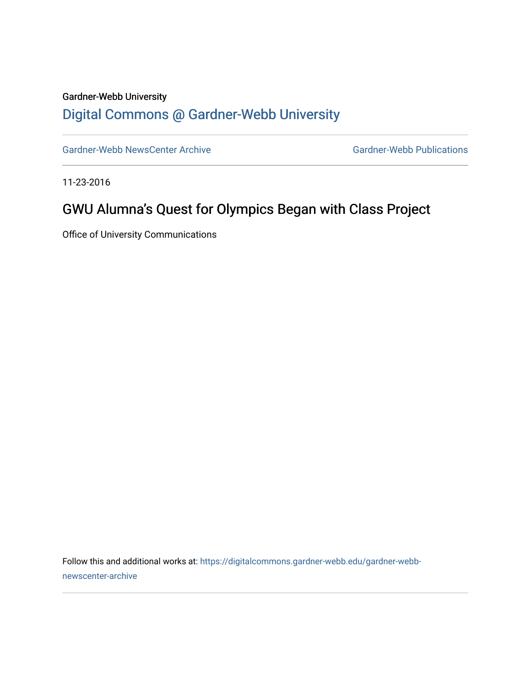### Gardner-Webb University

### [Digital Commons @ Gardner-Webb University](https://digitalcommons.gardner-webb.edu/)

[Gardner-Webb NewsCenter Archive](https://digitalcommons.gardner-webb.edu/gardner-webb-newscenter-archive) Gardner-Webb Publications

11-23-2016

## GWU Alumna's Quest for Olympics Began with Class Project

Office of University Communications

Follow this and additional works at: [https://digitalcommons.gardner-webb.edu/gardner-webb](https://digitalcommons.gardner-webb.edu/gardner-webb-newscenter-archive?utm_source=digitalcommons.gardner-webb.edu%2Fgardner-webb-newscenter-archive%2F1093&utm_medium=PDF&utm_campaign=PDFCoverPages)[newscenter-archive](https://digitalcommons.gardner-webb.edu/gardner-webb-newscenter-archive?utm_source=digitalcommons.gardner-webb.edu%2Fgardner-webb-newscenter-archive%2F1093&utm_medium=PDF&utm_campaign=PDFCoverPages)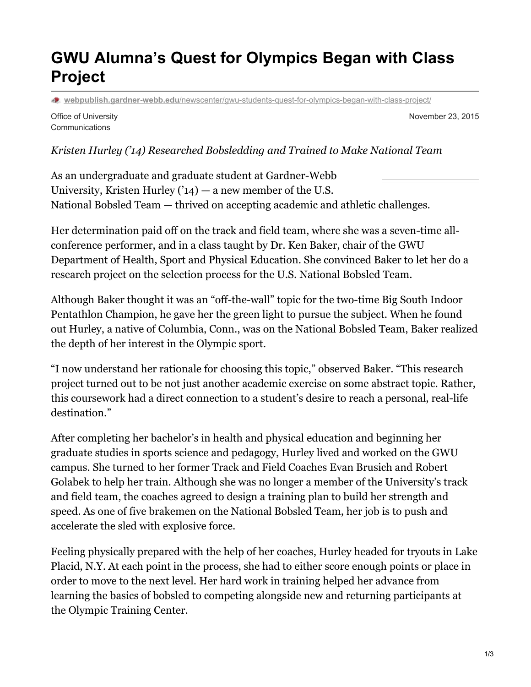# **GWU Alumna's Quest for Olympics Began with Class Project**

**webpublish.gardner-webb.edu**[/newscenter/gwu-students-quest-for-olympics-began-with-class-project/](https://webpublish.gardner-webb.edu/newscenter/gwu-students-quest-for-olympics-began-with-class-project/)

Office of University **Communications** 

November 23, 2015

#### *Kristen Hurley ('14) Researched Bobsledding and Trained to Make National Team*

As an undergraduate and graduate student at Gardner-Webb University, Kristen Hurley  $(14)$  – a new member of the U.S. National Bobsled Team — thrived on accepting academic and athletic challenges.

Her determination paid off on the track and field team, where she was a seven-time allconference performer, and in a class taught by Dr. Ken Baker, chair of the GWU Department of Health, Sport and Physical Education. She convinced Baker to let her do a research project on the selection process for the U.S. National Bobsled Team.

Although Baker thought it was an "off-the-wall" topic for the two-time Big South Indoor Pentathlon Champion, he gave her the green light to pursue the subject. When he found out Hurley, a native of Columbia, Conn., was on the National Bobsled Team, Baker realized the depth of her interest in the Olympic sport.

"I now understand her rationale for choosing this topic," observed Baker. "This research project turned out to be not just another academic exercise on some abstract topic. Rather, this coursework had a direct connection to a student's desire to reach a personal, real-life destination."

After completing her bachelor's in health and physical education and beginning her graduate studies in sports science and pedagogy, Hurley lived and worked on the GWU campus. She turned to her former Track and Field Coaches Evan Brusich and Robert Golabek to help her train. Although she was no longer a member of the University's track and field team, the coaches agreed to design a training plan to build her strength and speed. As one of five brakemen on the National Bobsled Team, her job is to push and accelerate the sled with explosive force.

Feeling physically prepared with the help of her coaches, Hurley headed for tryouts in Lake Placid, N.Y. At each point in the process, she had to either score enough points or place in order to move to the next level. Her hard work in training helped her advance from learning the basics of bobsled to competing alongside new and returning participants at the Olympic Training Center.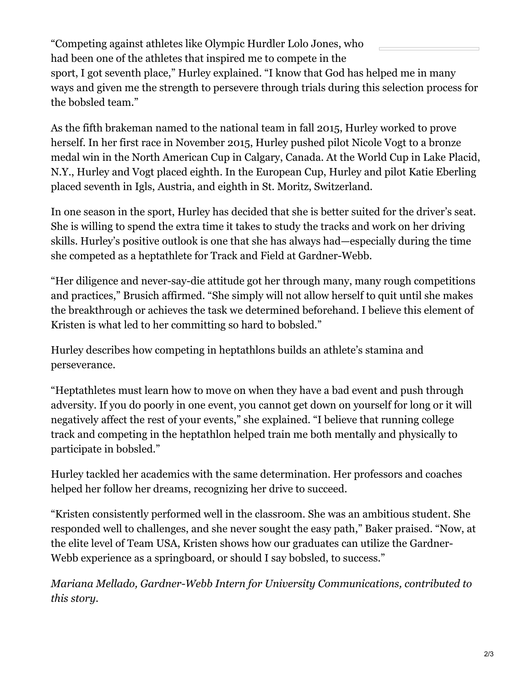"Competing against athletes like Olympic Hurdler Lolo Jones, who had been one of the athletes that inspired me to compete in the sport, I got seventh place," Hurley explained. "I know that God has helped me in many ways and given me the strength to persevere through trials during this selection process for the bobsled team."

As the fifth brakeman named to the national team in fall 2015, Hurley worked to prove herself. In her first race in November 2015, Hurley pushed pilot Nicole Vogt to a bronze medal win in the North American Cup in Calgary, Canada. At the World Cup in Lake Placid, N.Y., Hurley and Vogt placed eighth. In the European Cup, Hurley and pilot Katie Eberling placed seventh in Igls, Austria, and eighth in St. Moritz, Switzerland.

In one season in the sport, Hurley has decided that she is better suited for the driver's seat. She is willing to spend the extra time it takes to study the tracks and work on her driving skills. Hurley's positive outlook is one that she has always had—especially during the time she competed as a heptathlete for Track and Field at Gardner-Webb.

"Her diligence and never-say-die attitude got her through many, many rough competitions and practices," Brusich affirmed. "She simply will not allow herself to quit until she makes the breakthrough or achieves the task we determined beforehand. I believe this element of Kristen is what led to her committing so hard to bobsled."

Hurley describes how competing in heptathlons builds an athlete's stamina and perseverance.

"Heptathletes must learn how to move on when they have a bad event and push through adversity. If you do poorly in one event, you cannot get down on yourself for long or it will negatively affect the rest of your events," she explained. "I believe that running college track and competing in the heptathlon helped train me both mentally and physically to participate in bobsled."

Hurley tackled her academics with the same determination. Her professors and coaches helped her follow her dreams, recognizing her drive to succeed.

"Kristen consistently performed well in the classroom. She was an ambitious student. She responded well to challenges, and she never sought the easy path," Baker praised. "Now, at the elite level of Team USA, Kristen shows how our graduates can utilize the Gardner-Webb experience as a springboard, or should I say bobsled, to success."

*Mariana Mellado, Gardner-Webb Intern for University Communications, contributed to this story.*